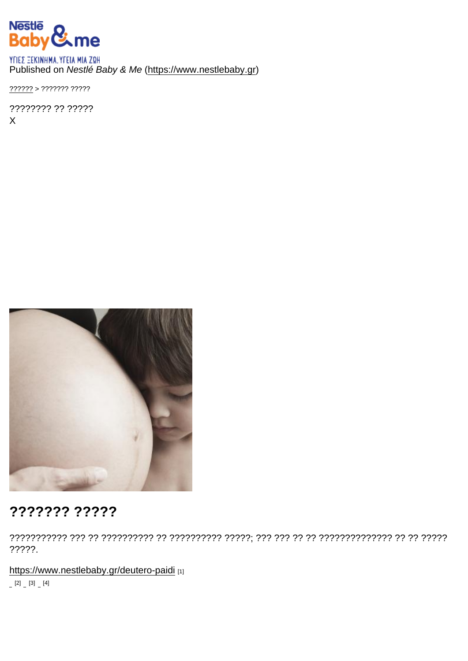## Published on Nestlé Baby & Me [\(https://www.nestlebaby.gr](https://www.nestlebaby.gr))

[??????](https://www.nestlebaby.gr/) > ??????? ?????

???????? ?? ????? X

## ??????? ?????

??????????? ??? ?? ?????????? ?? ?????????? ?????; ??? ??? ?? ?? ?????????????? ?? ?? ????? ?????.

<https://www.nestlebaby.gr/deutero-paidi> [1]

 $[2]$   $[3]$   $[4]$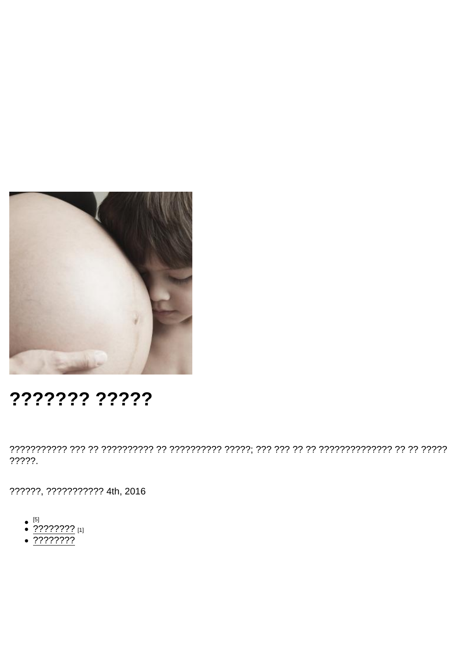## ??????? ?????

 $??\frac{???.}$ 

??????, ??????????? 4th, 2016

- 
- $\bullet$   $\frac{[5]}{?}$   $\frac{2777777}{?}$  [1]
- $\sqrt{???????}$